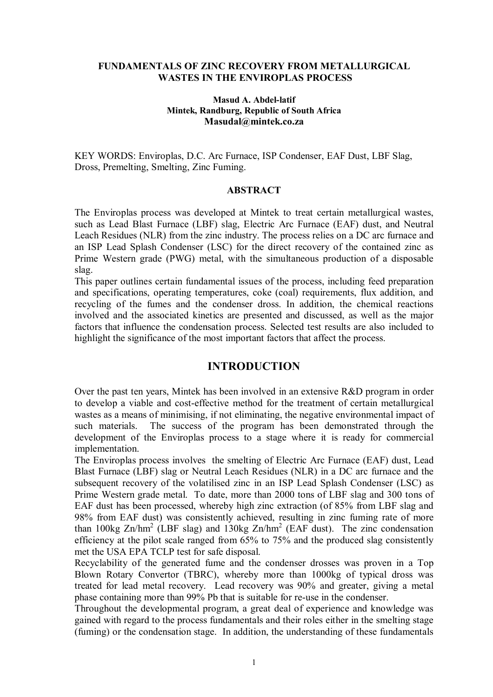#### **FUNDAMENTALS OF ZINC RECOVERY FROM METALLURGICAL WASTES IN THE ENVIROPLAS PROCESS**

#### **Masud A. Abdel-latif Mintek, Randburg, Republic of South Africa Masudal@mintek.co.za**

KEY WORDS: Enviroplas, D.C. Arc Furnace, ISP Condenser, EAF Dust, LBF Slag, Dross, Premelting, Smelting, Zinc Fuming.

#### **ABSTRACT**

The Enviroplas process was developed at Mintek to treat certain metallurgical wastes, such as Lead Blast Furnace (LBF) slag, Electric Arc Furnace (EAF) dust, and Neutral Leach Residues (NLR) from the zinc industry. The process relies on a DC arc furnace and an ISP Lead Splash Condenser (LSC) for the direct recovery of the contained zinc as Prime Western grade (PWG) metal, with the simultaneous production of a disposable slag.

This paper outlines certain fundamental issues of the process, including feed preparation and specifications, operating temperatures, coke (coal) requirements, flux addition, and recycling of the fumes and the condenser dross. In addition, the chemical reactions involved and the associated kinetics are presented and discussed, as well as the major factors that influence the condensation process. Selected test results are also included to highlight the significance of the most important factors that affect the process.

#### **INTRODUCTION**

Over the past ten years, Mintek has been involved in an extensive R&D program in order to develop a viable and cost-effective method for the treatment of certain metallurgical wastes as a means of minimising, if not eliminating, the negative environmental impact of such materials. The success of the program has been demonstrated through the development of the Enviroplas process to a stage where it is ready for commercial implementation.

The Enviroplas process involves the smelting of Electric Arc Furnace (EAF) dust, Lead Blast Furnace (LBF) slag or Neutral Leach Residues (NLR) in a DC arc furnace and the subsequent recovery of the volatilised zinc in an ISP Lead Splash Condenser (LSC) as Prime Western grade metal. To date, more than 2000 tons of LBF slag and 300 tons of EAF dust has been processed, whereby high zinc extraction (of 85% from LBF slag and 98% from EAF dust) was consistently achieved, resulting in zinc fuming rate of more than 100kg  $\text{Zn}/\text{hm}^2$  (LBF slag) and 130kg  $\text{Zn}/\text{hm}^2$  (EAF dust). The zinc condensation efficiency at the pilot scale ranged from 65% to 75% and the produced slag consistently met the USA EPA TCLP test for safe disposal.

Recyclability of the generated fume and the condenser drosses was proven in a Top Blown Rotary Convertor (TBRC), whereby more than 1000kg of typical dross was treated for lead metal recovery. Lead recovery was 90% and greater, giving a metal phase containing more than 99% Pb that is suitable for re-use in the condenser.

Throughout the developmental program, a great deal of experience and knowledge was gained with regard to the process fundamentals and their roles either in the smelting stage (fuming) or the condensation stage. In addition, the understanding of these fundamentals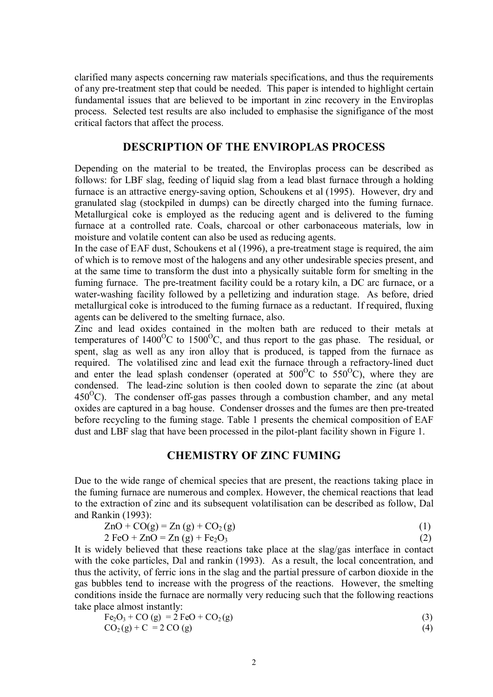clarified many aspects concerning raw materials specifications, and thus the requirements of any pre-treatment step that could be needed. This paper is intended to highlight certain fundamental issues that are believed to be important in zinc recovery in the Enviroplas process. Selected test results are also included to emphasise the signifigance of the most critical factors that affect the process.

### **DESCRIPTION OF THE ENVIROPLAS PROCESS**

Depending on the material to be treated, the Enviroplas process can be described as follows: for LBF slag, feeding of liquid slag from a lead blast furnace through a holding furnace is an attractive energy-saving option, Schoukens et al (1995). However, dry and granulated slag (stockpiled in dumps) can be directly charged into the fuming furnace. Metallurgical coke is employed as the reducing agent and is delivered to the fuming furnace at a controlled rate. Coals, charcoal or other carbonaceous materials, low in moisture and volatile content can also be used as reducing agents.

In the case of EAF dust, Schoukens et al (1996), a pre-treatment stage is required, the aim of which is to remove most of the halogens and any other undesirable species present, and at the same time to transform the dust into a physically suitable form for smelting in the fuming furnace. The pre-treatment facility could be a rotary kiln, a DC arc furnace, or a water-washing facility followed by a pelletizing and induration stage. As before, dried metallurgical coke is introduced to the fuming furnace as a reductant. If required, fluxing agents can be delivered to the smelting furnace, also.

Zinc and lead oxides contained in the molten bath are reduced to their metals at temperatures of  $1400^{\circ}$ C to  $1500^{\circ}$ C, and thus report to the gas phase. The residual, or spent, slag as well as any iron alloy that is produced, is tapped from the furnace as required. The volatilised zinc and lead exit the furnace through a refractory-lined duct and enter the lead splash condenser (operated at  $500^{\circ}$ C to  $550^{\circ}$ C), where they are condensed. The lead-zinc solution is then cooled down to separate the zinc (at about  $450^{\circ}$ C). The condenser off-gas passes through a combustion chamber, and any metal oxides are captured in a bag house. Condenser drosses and the fumes are then pre-treated before recycling to the fuming stage. Table 1 presents the chemical composition of EAF dust and LBF slag that have been processed in the pilot-plant facility shown in Figure 1.

### **CHEMISTRY OF ZINC FUMING**

Due to the wide range of chemical species that are present, the reactions taking place in the fuming furnace are numerous and complex. However, the chemical reactions that lead to the extraction of zinc and its subsequent volatilisation can be described as follow, Dal and Rankin (1993):

$$
ZnO + CO(g) = Zn(g) + CO2(g)
$$
 (1)

 $2 \text{FeO} + \text{ZnO} = \text{Zn (g)} + \text{Fe}_2\text{O}_3$  (2)

It is widely believed that these reactions take place at the slag/gas interface in contact with the coke particles, Dal and rankin (1993). As a result, the local concentration, and thus the activity, of ferric ions in the slag and the partial pressure of carbon dioxide in the gas bubbles tend to increase with the progress of the reactions. However, the smelting conditions inside the furnace are normally very reducing such that the following reactions take place almost instantly:

$$
Fe2O3 + CO (g) = 2 FeO + CO2(g)
$$
  
\n
$$
CO2(g) + C = 2 CO (g)
$$
 (3)  
\n(4)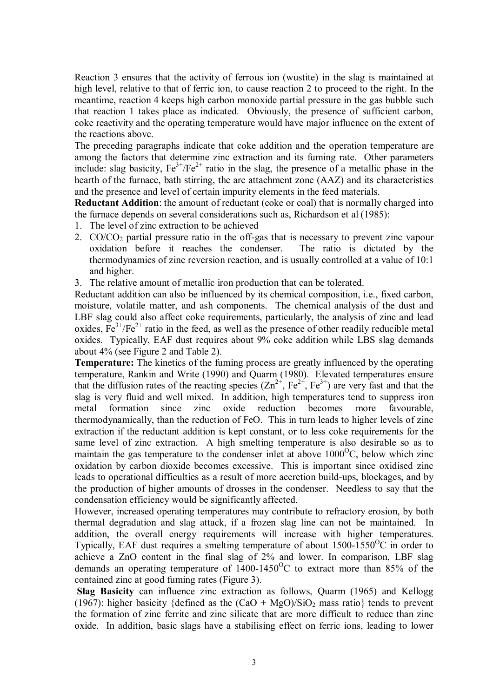Reaction 3 ensures that the activity of ferrous ion (wustite) in the slag is maintained at high level, relative to that of ferric ion, to cause reaction 2 to proceed to the right. In the meantime, reaction 4 keeps high carbon monoxide partial pressure in the gas bubble such that reaction 1 takes place as indicated. Obviously, the presence of sufficient carbon, coke reactivity and the operating temperature would have major influence on the extent of the reactions above.

The preceding paragraphs indicate that coke addition and the operation temperature are among the factors that determine zinc extraction and its fuming rate. Other parameters include: slag basicity,  $Fe^{3+}/Fe^{2+}$  ratio in the slag, the presence of a metallic phase in the hearth of the furnace, bath stirring, the arc attachment zone (AAZ) and its characteristics and the presence and level of certain impurity elements in the feed materials.

**Reductant Addition**: the amount of reductant (coke or coal) that is normally charged into the furnace depends on several considerations such as, Richardson et al (1985):

- 1. The level of zinc extraction to be achieved
- 2.  $CO/CO<sub>2</sub>$  partial pressure ratio in the off-gas that is necessary to prevent zinc vapour oxidation before it reaches the condenser. The ratio is dictated by the thermodynamics of zinc reversion reaction, and is usually controlled at a value of 10:1 and higher.
- 3. The relative amount of metallic iron production that can be tolerated.

Reductant addition can also be influenced by its chemical composition, i.e., fixed carbon, moisture, volatile matter, and ash components. The chemical analysis of the dust and LBF slag could also affect coke requirements, particularly, the analysis of zinc and lead oxides,  $Fe^{3+}/Fe^{2+}$  ratio in the feed, as well as the presence of other readily reducible metal oxides. Typically, EAF dust requires about 9% coke addition while LBS slag demands about 4% (see Figure 2 and Table 2).

**Temperature:** The kinetics of the fuming process are greatly influenced by the operating temperature, Rankin and Write (1990) and Quarm (1980). Elevated temperatures ensure that the diffusion rates of the reacting species  $(Zn^{2+}, Fe^{2+}, Fe^{3+})$  are very fast and that the slag is very fluid and well mixed. In addition, high temperatures tend to suppress iron metal formation since zinc oxide reduction becomes more favourable, thermodynamically, than the reduction of FeO. This in turn leads to higher levels of zinc extraction if the reductant addition is kept constant, or to less coke requirements for the same level of zinc extraction. A high smelting temperature is also desirable so as to maintain the gas temperature to the condenser inlet at above  $1000^{\circ}$ C, below which zinc oxidation by carbon dioxide becomes excessive. This is important since oxidised zinc leads to operational difficulties as a result of more accretion build-ups, blockages, and by the production of higher amounts of drosses in the condenser. Needless to say that the condensation efficiency would be significantly affected.

However, increased operating temperatures may contribute to refractory erosion, by both thermal degradation and slag attack, if a frozen slag line can not be maintained. In addition, the overall energy requirements will increase with higher temperatures. Typically, EAF dust requires a smelting temperature of about  $1500-1550^{\circ}\text{C}$  in order to achieve a ZnO content in the final slag of 2% and lower. In comparison, LBF slag demands an operating temperature of  $1400-1450^{\circ}$ C to extract more than 85% of the contained zinc at good fuming rates (Figure 3).

**Slag Basicity** can influence zinc extraction as follows, Quarm (1965) and Kellogg (1967): higher basicity {defined as the  $(CaO + MgO)/SiO<sub>2</sub>$  mass ratio} tends to prevent the formation of zinc ferrite and zinc silicate that are more difficult to reduce than zinc oxide. In addition, basic slags have a stabilising effect on ferric ions, leading to lower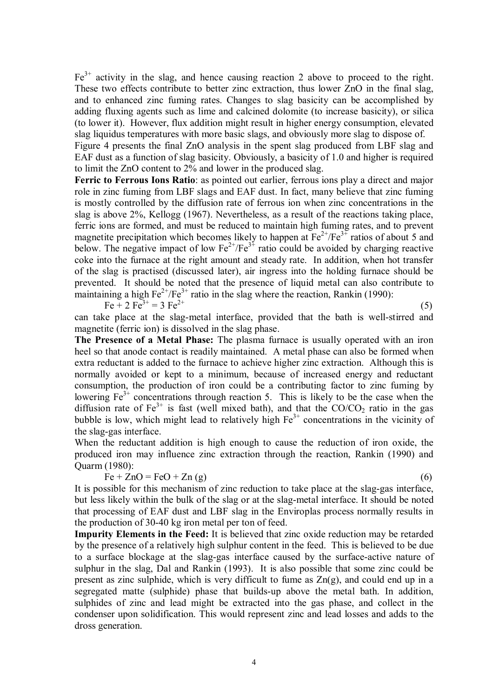$Fe<sup>3+</sup>$  activity in the slag, and hence causing reaction 2 above to proceed to the right. These two effects contribute to better zinc extraction, thus lower ZnO in the final slag, and to enhanced zinc fuming rates. Changes to slag basicity can be accomplished by adding fluxing agents such as lime and calcined dolomite (to increase basicity), or silica (to lower it). However, flux addition might result in higher energy consumption, elevated slag liquidus temperatures with more basic slags, and obviously more slag to dispose of.

Figure 4 presents the final ZnO analysis in the spent slag produced from LBF slag and EAF dust as a function of slag basicity. Obviously, a basicity of 1.0 and higher is required to limit the ZnO content to 2% and lower in the produced slag.

**Ferric to Ferrous Ions Ratio**: as pointed out earlier, ferrous ions play a direct and major role in zinc fuming from LBF slags and EAF dust. In fact, many believe that zinc fuming is mostly controlled by the diffusion rate of ferrous ion when zinc concentrations in the slag is above 2%, Kellogg (1967). Nevertheless, as a result of the reactions taking place, ferric ions are formed, and must be reduced to maintain high fuming rates, and to prevent magnetite precipitation which becomes likely to happen at  $Fe^{2+}/Fe^{3+}$  ratios of about 5 and below. The negative impact of low  $Fe^{2+}/Fe^{3+}$  ratio could be avoided by charging reactive coke into the furnace at the right amount and steady rate. In addition, when hot transfer of the slag is practised (discussed later), air ingress into the holding furnace should be prevented. It should be noted that the presence of liquid metal can also contribute to maintaining a high  $Fe^{2+}/Fe^{3+}$  ratio in the slag where the reaction, Rankin (1990): Fe + 2 Fe<sup>3+</sup> = 3 Fe<sup>2+</sup> (5)

can take place at the slag-metal interface, provided that the bath is well-stirred and magnetite (ferric ion) is dissolved in the slag phase.

**The Presence of a Metal Phase:** The plasma furnace is usually operated with an iron heel so that anode contact is readily maintained. A metal phase can also be formed when extra reductant is added to the furnace to achieve higher zinc extraction. Although this is normally avoided or kept to a minimum, because of increased energy and reductant consumption, the production of iron could be a contributing factor to zinc fuming by lowering  $Fe<sup>3+</sup>$  concentrations through reaction 5. This is likely to be the case when the diffusion rate of  $Fe^{3+}$  is fast (well mixed bath), and that the  $CO/CO_2$  ratio in the gas bubble is low, which might lead to relatively high  $Fe<sup>3+</sup>$  concentrations in the vicinity of the slag-gas interface.

When the reductant addition is high enough to cause the reduction of iron oxide, the produced iron may influence zinc extraction through the reaction, Rankin (1990) and Quarm (1980):

 $Fe + ZnO = FeO + Zn(g)$  (6)

It is possible for this mechanism of zinc reduction to take place at the slag-gas interface, but less likely within the bulk of the slag or at the slag-metal interface. It should be noted that processing of EAF dust and LBF slag in the Enviroplas process normally results in the production of 30-40 kg iron metal per ton of feed.

**Impurity Elements in the Feed:** It is believed that zinc oxide reduction may be retarded by the presence of a relatively high sulphur content in the feed. This is believed to be due to a surface blockage at the slag-gas interface caused by the surface-active nature of sulphur in the slag, Dal and Rankin (1993). It is also possible that some zinc could be present as zinc sulphide, which is very difficult to fume as Zn(g), and could end up in a segregated matte (sulphide) phase that builds-up above the metal bath. In addition, sulphides of zinc and lead might be extracted into the gas phase, and collect in the condenser upon solidification. This would represent zinc and lead losses and adds to the dross generation.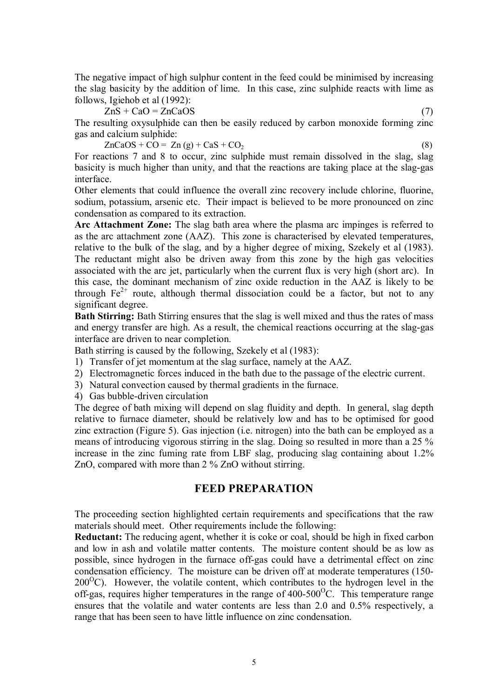The negative impact of high sulphur content in the feed could be minimised by increasing the slag basicity by the addition of lime. In this case, zinc sulphide reacts with lime as follows, Igiehob et al (1992):

 $ZnS + CaO = ZnCaOS$  (7)

The resulting oxysulphide can then be easily reduced by carbon monoxide forming zinc gas and calcium sulphide:

 $ZnCaOS + CO = Zn (g) + CaS + CO<sub>2</sub>$  (8)

For reactions 7 and 8 to occur, zinc sulphide must remain dissolved in the slag, slag basicity is much higher than unity, and that the reactions are taking place at the slag-gas interface.

Other elements that could influence the overall zinc recovery include chlorine, fluorine, sodium, potassium, arsenic etc. Their impact is believed to be more pronounced on zinc condensation as compared to its extraction.

**Arc Attachment Zone:** The slag bath area where the plasma arc impinges is referred to as the arc attachment zone (AAZ). This zone is characterised by elevated temperatures, relative to the bulk of the slag, and by a higher degree of mixing, Szekely et al (1983). The reductant might also be driven away from this zone by the high gas velocities associated with the arc jet, particularly when the current flux is very high (short arc). In this case, the dominant mechanism of zinc oxide reduction in the AAZ is likely to be through  $Fe^{2+}$  route, although thermal dissociation could be a factor, but not to any significant degree.

**Bath Stirring:** Bath Stirring ensures that the slag is well mixed and thus the rates of mass and energy transfer are high. As a result, the chemical reactions occurring at the slag-gas interface are driven to near completion.

Bath stirring is caused by the following, Szekely et al (1983):

- 1) Transfer of jet momentum at the slag surface, namely at the AAZ.
- 2) Electromagnetic forces induced in the bath due to the passage of the electric current.
- 3) Natural convection caused by thermal gradients in the furnace.
- 4) Gas bubble-driven circulation

The degree of bath mixing will depend on slag fluidity and depth. In general, slag depth relative to furnace diameter, should be relatively low and has to be optimised for good zinc extraction (Figure 5). Gas injection (i.e. nitrogen) into the bath can be employed as a means of introducing vigorous stirring in the slag. Doing so resulted in more than a 25 % increase in the zinc fuming rate from LBF slag, producing slag containing about 1.2% ZnO, compared with more than 2 % ZnO without stirring.

# **FEED PREPARATION**

The proceeding section highlighted certain requirements and specifications that the raw materials should meet. Other requirements include the following:

**Reductant:** The reducing agent, whether it is coke or coal, should be high in fixed carbon and low in ash and volatile matter contents. The moisture content should be as low as possible, since hydrogen in the furnace off-gas could have a detrimental effect on zinc condensation efficiency. The moisture can be driven off at moderate temperatures (150-  $200^{\circ}$ C). However, the volatile content, which contributes to the hydrogen level in the off-gas, requires higher temperatures in the range of  $400-500^{\circ}$ C. This temperature range ensures that the volatile and water contents are less than 2.0 and 0.5% respectively, a range that has been seen to have little influence on zinc condensation.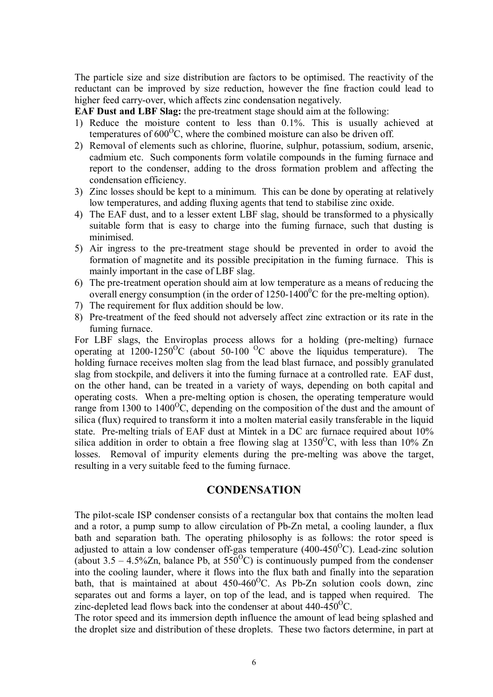The particle size and size distribution are factors to be optimised. The reactivity of the reductant can be improved by size reduction, however the fine fraction could lead to higher feed carry-over, which affects zinc condensation negatively.

**EAF Dust and LBF Slag:** the pre-treatment stage should aim at the following:

- 1) Reduce the moisture content to less than 0.1%. This is usually achieved at temperatures of  $600^{\circ}$ C, where the combined moisture can also be driven off.
- 2) Removal of elements such as chlorine, fluorine, sulphur, potassium, sodium, arsenic, cadmium etc. Such components form volatile compounds in the fuming furnace and report to the condenser, adding to the dross formation problem and affecting the condensation efficiency.
- 3) Zinc losses should be kept to a minimum. This can be done by operating at relatively low temperatures, and adding fluxing agents that tend to stabilise zinc oxide.
- 4) The EAF dust, and to a lesser extent LBF slag, should be transformed to a physically suitable form that is easy to charge into the fuming furnace, such that dusting is minimised.
- 5) Air ingress to the pre-treatment stage should be prevented in order to avoid the formation of magnetite and its possible precipitation in the fuming furnace. This is mainly important in the case of LBF slag.
- 6) The pre-treatment operation should aim at low temperature as a means of reducing the overall energy consumption (in the order of  $1250-1400^{\circ}$ C for the pre-melting option).
- 7) The requirement for flux addition should be low.
- 8) Pre-treatment of the feed should not adversely affect zinc extraction or its rate in the fuming furnace.

For LBF slags, the Enviroplas process allows for a holding (pre-melting) furnace operating at  $1200-1250^{\circ}\text{C}$  (about 50-100  $^{\circ}\text{C}$  above the liquidus temperature). The holding furnace receives molten slag from the lead blast furnace, and possibly granulated slag from stockpile, and delivers it into the fuming furnace at a controlled rate. EAF dust, on the other hand, can be treated in a variety of ways, depending on both capital and operating costs. When a pre-melting option is chosen, the operating temperature would range from 1300 to 1400 $^{\circ}$ C, depending on the composition of the dust and the amount of silica (flux) required to transform it into a molten material easily transferable in the liquid state. Pre-melting trials of EAF dust at Mintek in a DC arc furnace required about 10% silica addition in order to obtain a free flowing slag at  $1350^{\circ}$ C, with less than 10% Zn losses. Removal of impurity elements during the pre-melting was above the target, resulting in a very suitable feed to the fuming furnace.

## **CONDENSATION**

The pilot-scale ISP condenser consists of a rectangular box that contains the molten lead and a rotor, a pump sump to allow circulation of Pb-Zn metal, a cooling launder, a flux bath and separation bath. The operating philosophy is as follows: the rotor speed is adjusted to attain a low condenser off-gas temperature  $(400-450^{\circ}C)$ . Lead-zinc solution (about 3.5 – 4.5%Zn, balance Pb, at  $550^{\circ}$ C) is continuously pumped from the condenser into the cooling launder, where it flows into the flux bath and finally into the separation bath, that is maintained at about  $450-460^{\circ}$ C. As Pb-Zn solution cools down, zinc separates out and forms a layer, on top of the lead, and is tapped when required. The zinc-depleted lead flows back into the condenser at about  $440-450^{\circ}$ C.

The rotor speed and its immersion depth influence the amount of lead being splashed and the droplet size and distribution of these droplets. These two factors determine, in part at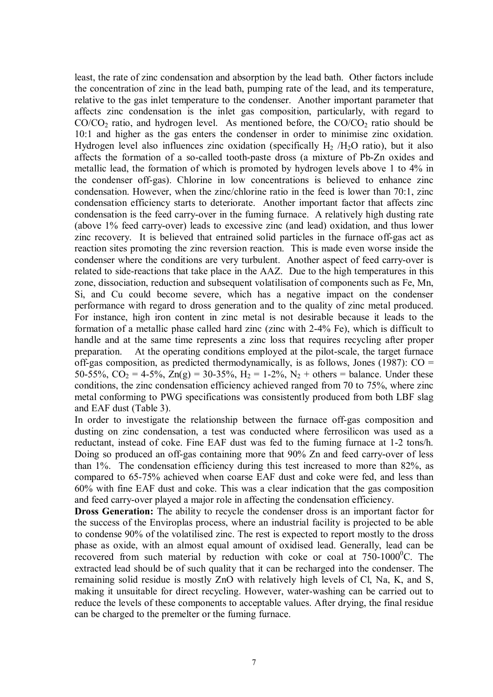least, the rate of zinc condensation and absorption by the lead bath. Other factors include the concentration of zinc in the lead bath, pumping rate of the lead, and its temperature, relative to the gas inlet temperature to the condenser. Another important parameter that affects zinc condensation is the inlet gas composition, particularly, with regard to  $CO/CO<sub>2</sub>$  ratio, and hydrogen level. As mentioned before, the  $CO/CO<sub>2</sub>$  ratio should be 10:1 and higher as the gas enters the condenser in order to minimise zinc oxidation. Hydrogen level also influences zinc oxidation (specifically  $H_2/H_2O$  ratio), but it also affects the formation of a so-called tooth-paste dross (a mixture of Pb-Zn oxides and metallic lead, the formation of which is promoted by hydrogen levels above 1 to 4% in the condenser off-gas). Chlorine in low concentrations is believed to enhance zinc condensation. However, when the zinc/chlorine ratio in the feed is lower than 70:1, zinc condensation efficiency starts to deteriorate. Another important factor that affects zinc condensation is the feed carry-over in the fuming furnace. A relatively high dusting rate (above 1% feed carry-over) leads to excessive zinc (and lead) oxidation, and thus lower zinc recovery. It is believed that entrained solid particles in the furnace off-gas act as reaction sites promoting the zinc reversion reaction. This is made even worse inside the condenser where the conditions are very turbulent. Another aspect of feed carry-over is related to side-reactions that take place in the AAZ. Due to the high temperatures in this zone, dissociation, reduction and subsequent volatilisation of components such as Fe, Mn, Si, and Cu could become severe, which has a negative impact on the condenser performance with regard to dross generation and to the quality of zinc metal produced. For instance, high iron content in zinc metal is not desirable because it leads to the formation of a metallic phase called hard zinc (zinc with 2-4% Fe), which is difficult to handle and at the same time represents a zinc loss that requires recycling after proper preparation. At the operating conditions employed at the pilot-scale, the target furnace off-gas composition, as predicted thermodynamically, is as follows, Jones (1987): CO = 50-55%,  $CO_2 = 4-5\%$ ,  $Zn(g) = 30-35\%$ ,  $H_2 = 1-2\%$ ,  $N_2 + \text{others} = \text{balance}$ . Under these conditions, the zinc condensation efficiency achieved ranged from 70 to 75%, where zinc metal conforming to PWG specifications was consistently produced from both LBF slag and EAF dust (Table 3).

In order to investigate the relationship between the furnace off-gas composition and dusting on zinc condensation, a test was conducted where ferrosilicon was used as a reductant, instead of coke. Fine EAF dust was fed to the fuming furnace at 1-2 tons/h. Doing so produced an off-gas containing more that 90% Zn and feed carry-over of less than 1%. The condensation efficiency during this test increased to more than 82%, as compared to 65-75% achieved when coarse EAF dust and coke were fed, and less than 60% with fine EAF dust and coke. This was a clear indication that the gas composition and feed carry-over played a major role in affecting the condensation efficiency.

**Dross Generation:** The ability to recycle the condenser dross is an important factor for the success of the Enviroplas process, where an industrial facility is projected to be able to condense 90% of the volatilised zinc. The rest is expected to report mostly to the dross phase as oxide, with an almost equal amount of oxidised lead. Generally, lead can be recovered from such material by reduction with coke or coal at  $750-1000^{\circ}$ C. The extracted lead should be of such quality that it can be recharged into the condenser. The remaining solid residue is mostly ZnO with relatively high levels of Cl, Na, K, and S, making it unsuitable for direct recycling. However, water-washing can be carried out to reduce the levels of these components to acceptable values. After drying, the final residue can be charged to the premelter or the fuming furnace.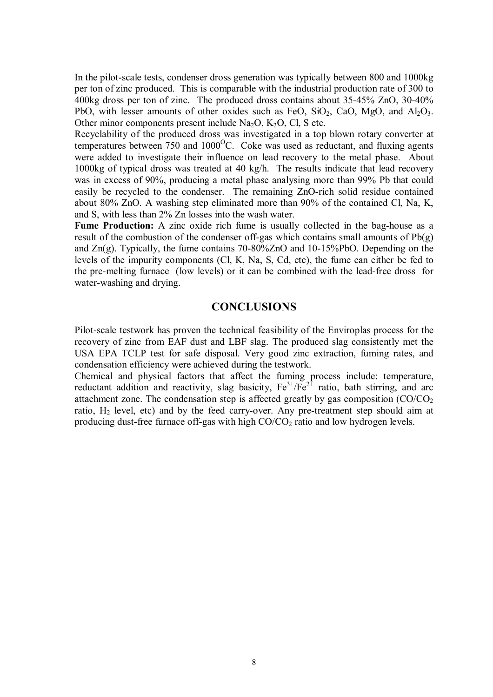In the pilot-scale tests, condenser dross generation was typically between 800 and 1000kg per ton of zinc produced. This is comparable with the industrial production rate of 300 to 400kg dross per ton of zinc. The produced dross contains about 35-45% ZnO, 30-40% PbO, with lesser amounts of other oxides such as FeO,  $SiO_2$ , CaO, MgO, and Al<sub>2</sub>O<sub>3</sub>. Other minor components present include Na<sub>2</sub>O, K<sub>2</sub>O, Cl, S etc.

Recyclability of the produced dross was investigated in a top blown rotary converter at temperatures between  $750$  and  $1000^{\circ}$ C. Coke was used as reductant, and fluxing agents were added to investigate their influence on lead recovery to the metal phase. About 1000kg of typical dross was treated at 40 kg/h. The results indicate that lead recovery was in excess of 90%, producing a metal phase analysing more than 99% Pb that could easily be recycled to the condenser. The remaining ZnO-rich solid residue contained about 80% ZnO. A washing step eliminated more than 90% of the contained Cl, Na, K, and S, with less than 2% Zn losses into the wash water.

**Fume Production:** A zinc oxide rich fume is usually collected in the bag-house as a result of the combustion of the condenser off-gas which contains small amounts of  $Pb(g)$ and Zn(g). Typically, the fume contains 70-80%ZnO and 10-15%PbO. Depending on the levels of the impurity components (Cl, K, Na, S, Cd, etc), the fume can either be fed to the pre-melting furnace (low levels) or it can be combined with the lead-free dross for water-washing and drying.

### **CONCLUSIONS**

Pilot-scale testwork has proven the technical feasibility of the Enviroplas process for the recovery of zinc from EAF dust and LBF slag. The produced slag consistently met the USA EPA TCLP test for safe disposal. Very good zinc extraction, fuming rates, and condensation efficiency were achieved during the testwork.

Chemical and physical factors that affect the fuming process include: temperature, reductant addition and reactivity, slag basicity,  $Fe^{3+}/Fe^{2+}$  ratio, bath stirring, and arc attachment zone. The condensation step is affected greatly by gas composition  $(CO/CO<sub>2</sub>)$ ratio,  $H_2$  level, etc) and by the feed carry-over. Any pre-treatment step should aim at producing dust-free furnace off-gas with high  $CO/CO<sub>2</sub>$  ratio and low hydrogen levels.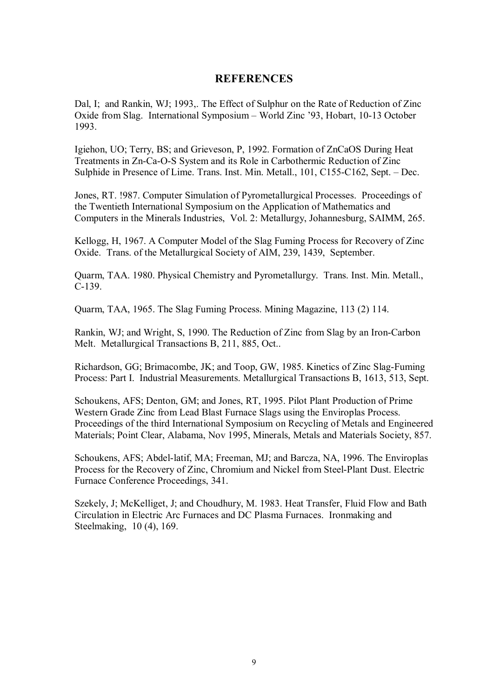## **REFERENCES**

Dal, I; and Rankin, WJ; 1993,. The Effect of Sulphur on the Rate of Reduction of Zinc Oxide from Slag. International Symposium – World Zinc '93, Hobart, 10-13 October 1993.

Igiehon, UO; Terry, BS; and Grieveson, P, 1992. Formation of ZnCaOS During Heat Treatments in Zn-Ca-O-S System and its Role in Carbothermic Reduction of Zinc Sulphide in Presence of Lime. Trans. Inst. Min. Metall., 101, C155-C162, Sept. – Dec.

Jones, RT. !987. Computer Simulation of Pyrometallurgical Processes. Proceedings of the Twentieth International Symposium on the Application of Mathematics and Computers in the Minerals Industries, Vol. 2: Metallurgy, Johannesburg, SAIMM, 265.

Kellogg, H, 1967. A Computer Model of the Slag Fuming Process for Recovery of Zinc Oxide. Trans. of the Metallurgical Society of AIM, 239, 1439, September.

Quarm, TAA. 1980. Physical Chemistry and Pyrometallurgy. Trans. Inst. Min. Metall., C-139.

Quarm, TAA, 1965. The Slag Fuming Process. Mining Magazine, 113 (2) 114.

Rankin, WJ; and Wright, S, 1990. The Reduction of Zinc from Slag by an Iron-Carbon Melt. Metallurgical Transactions B, 211, 885, Oct..

Richardson, GG; Brimacombe, JK; and Toop, GW, 1985. Kinetics of Zinc Slag-Fuming Process: Part I. Industrial Measurements. Metallurgical Transactions B, 1613, 513, Sept.

Schoukens, AFS; Denton, GM; and Jones, RT, 1995. Pilot Plant Production of Prime Western Grade Zinc from Lead Blast Furnace Slags using the Enviroplas Process. Proceedings of the third International Symposium on Recycling of Metals and Engineered Materials; Point Clear, Alabama, Nov 1995, Minerals, Metals and Materials Society, 857.

Schoukens, AFS; Abdel-latif, MA; Freeman, MJ; and Barcza, NA, 1996. The Enviroplas Process for the Recovery of Zinc, Chromium and Nickel from Steel-Plant Dust. Electric Furnace Conference Proceedings, 341.

Szekely, J; McKelliget, J; and Choudhury, M. 1983. Heat Transfer, Fluid Flow and Bath Circulation in Electric Arc Furnaces and DC Plasma Furnaces. Ironmaking and Steelmaking, 10 (4), 169.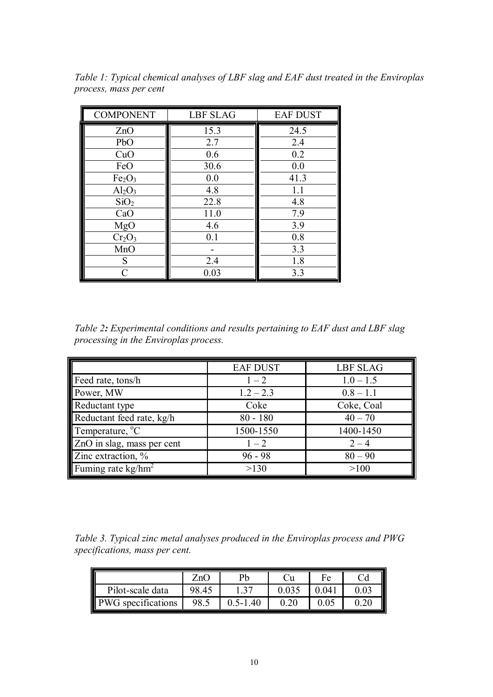| <b>COMPONENT</b>               | <b>LBF SLAG</b> | <b>EAF DUST</b> |  |
|--------------------------------|-----------------|-----------------|--|
| ZnO                            | 15.3            | 24.5            |  |
| PbO                            | 2.7             | 2.4             |  |
| CuO                            | 0.6             | 0.2             |  |
| FeO                            | 30.6            | 0.0             |  |
| Fe <sub>2</sub> O <sub>3</sub> | 0.0             | 41.3            |  |
| Al <sub>2</sub> O <sub>3</sub> | 4.8             | 1.1             |  |
| SiO <sub>2</sub>               | 22.8            | 4.8             |  |
| CaO                            | 11.0            | 7.9             |  |
| MgO                            | 4.6             | 3.9             |  |
| $Cr_2O_3$                      | 0.1             | 0.8             |  |
| MnO                            |                 | 3.3             |  |
| S                              | 2.4             | 1.8             |  |
|                                | 0.03            | 3.3             |  |

*Table 1: Typical chemical analyses of LBF slag and EAF dust treated in the Enviroplas process, mass per cent* 

*Table 2: Experimental conditions and results pertaining to EAF dust and LBF slag processing in the Enviroplas process.* 

|                                     | <b>EAF DUST</b> | <b>LBF SLAG</b> |  |  |
|-------------------------------------|-----------------|-----------------|--|--|
| Feed rate, tons/h                   | $1 - 2$         | $1.0 - 1.5$     |  |  |
| Power, MW                           | $1.2 - 2.3$     | $0.8 - 1.1$     |  |  |
| Reductant type                      | Coke            | Coke, Coal      |  |  |
| Reductant feed rate, kg/h           | $80 - 180$      | $40 - 70$       |  |  |
| Temperature, <sup>o</sup> C         | 1500-1550       | 1400-1450       |  |  |
| ZnO in slag, mass per cent          | $1 - 2$         | $2 - 4$         |  |  |
| Zinc extraction, %                  | $96 - 98$       | $80 - 90$       |  |  |
| Fuming rate $\text{kg}/\text{hm}^2$ | >130            | >100            |  |  |

*Table 3. Typical zinc metal analyses produced in the Enviroplas process and PWG specifications, mass per cent.* 

|                           | ZnC   | Pb       | Fe   |  |
|---------------------------|-------|----------|------|--|
| Pilot-scale data          | 98.45 |          | 0 O4 |  |
| <b>PWG</b> specifications | 98.5  | 0.5-1.40 |      |  |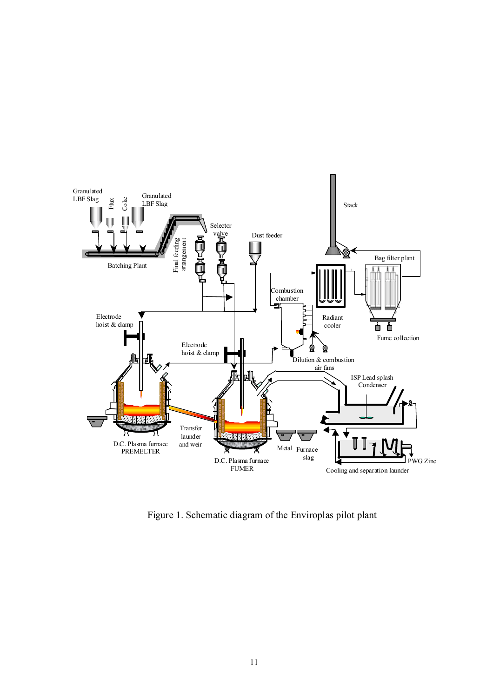

Figure 1. Schematic diagram of the Enviroplas pilot plant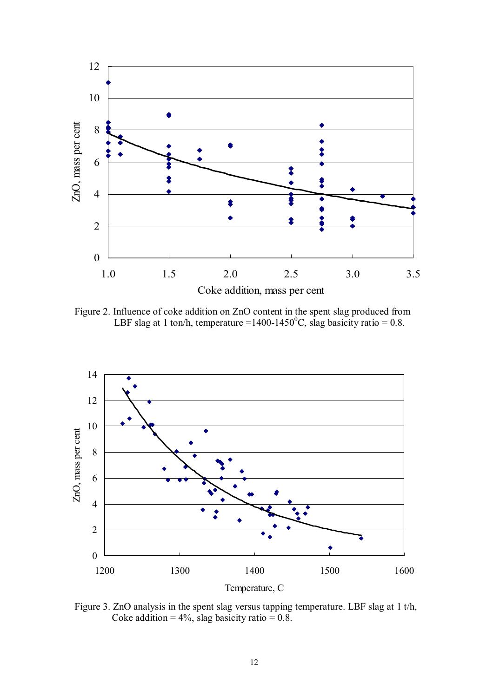

Figure 2. Influence of coke addition on ZnO content in the spent slag produced from LBF slag at 1 ton/h, temperature =1400-1450<sup>°</sup>C, slag basicity ratio = 0.8.



Figure 3. ZnO analysis in the spent slag versus tapping temperature. LBF slag at 1 t/h, Coke addition =  $4\%$ , slag basicity ratio = 0.8.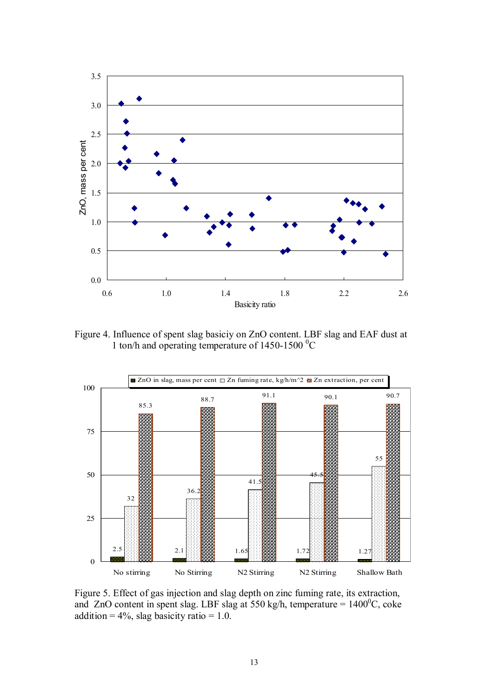

Figure 4. Influence of spent slag basiciy on ZnO content. LBF slag and EAF dust at 1 ton/h and operating temperature of  $1450-1500 \degree C$ 



Figure 5. Effect of gas injection and slag depth on zinc fuming rate, its extraction, and ZnO content in spent slag. LBF slag at 550 kg/h, temperature =  $1400^{\circ}$ C, coke addition =  $4\%$ , slag basicity ratio = 1.0.